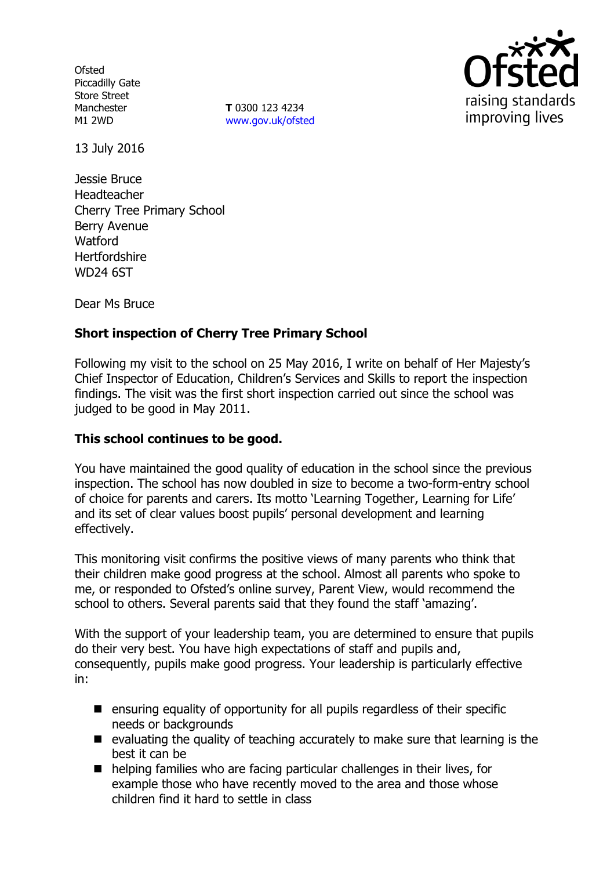**Ofsted** Piccadilly Gate Store Street Manchester M1 2WD

**T** 0300 123 4234 www.gov.uk/ofsted



13 July 2016

Jessie Bruce Headteacher Cherry Tree Primary School Berry Avenue **Watford Hertfordshire** WD24 6ST

Dear Ms Bruce

# **Short inspection of Cherry Tree Primary School**

Following my visit to the school on 25 May 2016, I write on behalf of Her Majesty's Chief Inspector of Education, Children's Services and Skills to report the inspection findings. The visit was the first short inspection carried out since the school was judged to be good in May 2011.

#### **This school continues to be good.**

You have maintained the good quality of education in the school since the previous inspection. The school has now doubled in size to become a two-form-entry school of choice for parents and carers. Its motto 'Learning Together, Learning for Life' and its set of clear values boost pupils' personal development and learning effectively.

This monitoring visit confirms the positive views of many parents who think that their children make good progress at the school. Almost all parents who spoke to me, or responded to Ofsted's online survey, Parent View, would recommend the school to others. Several parents said that they found the staff 'amazing'.

With the support of your leadership team, you are determined to ensure that pupils do their very best. You have high expectations of staff and pupils and, consequently, pupils make good progress. Your leadership is particularly effective in:

- **E** ensuring equality of opportunity for all pupils regardless of their specific needs or backgrounds
- $\blacksquare$  evaluating the quality of teaching accurately to make sure that learning is the best it can be
- $\blacksquare$  helping families who are facing particular challenges in their lives, for example those who have recently moved to the area and those whose children find it hard to settle in class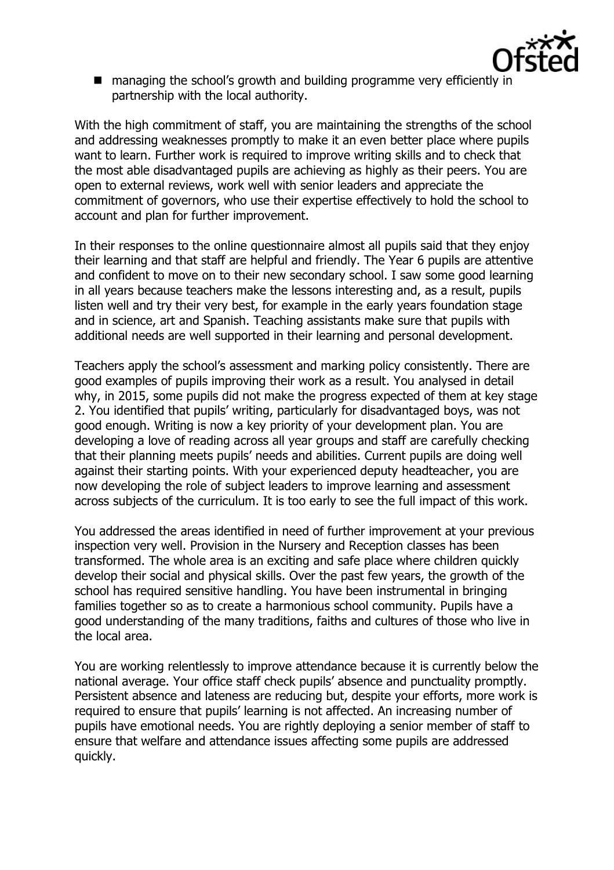

■ managing the school's growth and building programme very efficiently in partnership with the local authority.

With the high commitment of staff, you are maintaining the strengths of the school and addressing weaknesses promptly to make it an even better place where pupils want to learn. Further work is required to improve writing skills and to check that the most able disadvantaged pupils are achieving as highly as their peers. You are open to external reviews, work well with senior leaders and appreciate the commitment of governors, who use their expertise effectively to hold the school to account and plan for further improvement.

In their responses to the online questionnaire almost all pupils said that they enjoy their learning and that staff are helpful and friendly. The Year 6 pupils are attentive and confident to move on to their new secondary school. I saw some good learning in all years because teachers make the lessons interesting and, as a result, pupils listen well and try their very best, for example in the early years foundation stage and in science, art and Spanish. Teaching assistants make sure that pupils with additional needs are well supported in their learning and personal development.

Teachers apply the school's assessment and marking policy consistently. There are good examples of pupils improving their work as a result. You analysed in detail why, in 2015, some pupils did not make the progress expected of them at key stage 2. You identified that pupils' writing, particularly for disadvantaged boys, was not good enough. Writing is now a key priority of your development plan. You are developing a love of reading across all year groups and staff are carefully checking that their planning meets pupils' needs and abilities. Current pupils are doing well against their starting points. With your experienced deputy headteacher, you are now developing the role of subject leaders to improve learning and assessment across subjects of the curriculum. It is too early to see the full impact of this work.

You addressed the areas identified in need of further improvement at your previous inspection very well. Provision in the Nursery and Reception classes has been transformed. The whole area is an exciting and safe place where children quickly develop their social and physical skills. Over the past few years, the growth of the school has required sensitive handling. You have been instrumental in bringing families together so as to create a harmonious school community. Pupils have a good understanding of the many traditions, faiths and cultures of those who live in the local area.

You are working relentlessly to improve attendance because it is currently below the national average. Your office staff check pupils' absence and punctuality promptly. Persistent absence and lateness are reducing but, despite your efforts, more work is required to ensure that pupils' learning is not affected. An increasing number of pupils have emotional needs. You are rightly deploying a senior member of staff to ensure that welfare and attendance issues affecting some pupils are addressed quickly.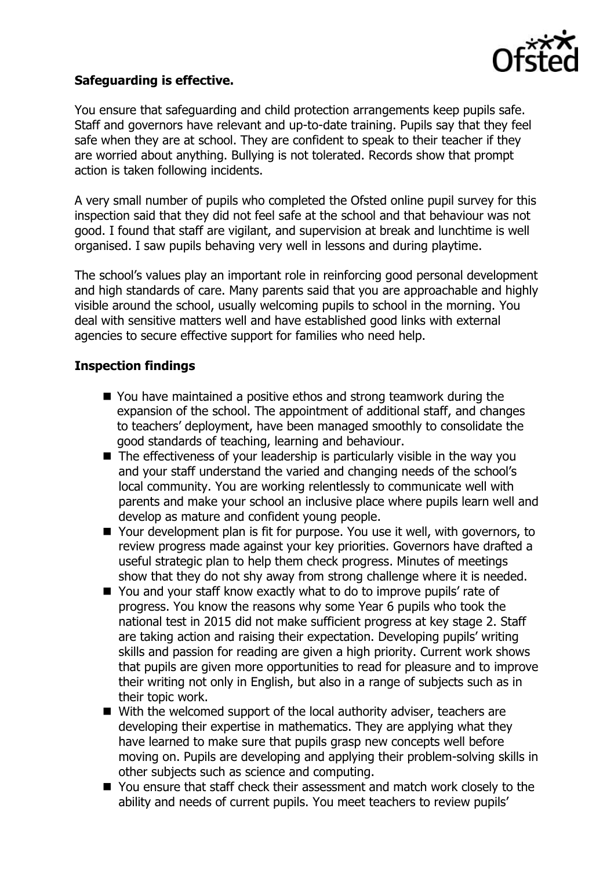

## **Safeguarding is effective.**

You ensure that safeguarding and child protection arrangements keep pupils safe. Staff and governors have relevant and up-to-date training. Pupils say that they feel safe when they are at school. They are confident to speak to their teacher if they are worried about anything. Bullying is not tolerated. Records show that prompt action is taken following incidents.

A very small number of pupils who completed the Ofsted online pupil survey for this inspection said that they did not feel safe at the school and that behaviour was not good. I found that staff are vigilant, and supervision at break and lunchtime is well organised. I saw pupils behaving very well in lessons and during playtime.

The school's values play an important role in reinforcing good personal development and high standards of care. Many parents said that you are approachable and highly visible around the school, usually welcoming pupils to school in the morning. You deal with sensitive matters well and have established good links with external agencies to secure effective support for families who need help.

#### **Inspection findings**

- You have maintained a positive ethos and strong teamwork during the expansion of the school. The appointment of additional staff, and changes to teachers' deployment, have been managed smoothly to consolidate the good standards of teaching, learning and behaviour.
- The effectiveness of your leadership is particularly visible in the way you and your staff understand the varied and changing needs of the school's local community. You are working relentlessly to communicate well with parents and make your school an inclusive place where pupils learn well and develop as mature and confident young people.
- Your development plan is fit for purpose. You use it well, with governors, to review progress made against your key priorities. Governors have drafted a useful strategic plan to help them check progress. Minutes of meetings show that they do not shy away from strong challenge where it is needed.
- You and your staff know exactly what to do to improve pupils' rate of progress. You know the reasons why some Year 6 pupils who took the national test in 2015 did not make sufficient progress at key stage 2. Staff are taking action and raising their expectation. Developing pupils' writing skills and passion for reading are given a high priority. Current work shows that pupils are given more opportunities to read for pleasure and to improve their writing not only in English, but also in a range of subjects such as in their topic work.
- With the welcomed support of the local authority adviser, teachers are developing their expertise in mathematics. They are applying what they have learned to make sure that pupils grasp new concepts well before moving on. Pupils are developing and applying their problem-solving skills in other subjects such as science and computing.
- You ensure that staff check their assessment and match work closely to the ability and needs of current pupils. You meet teachers to review pupils'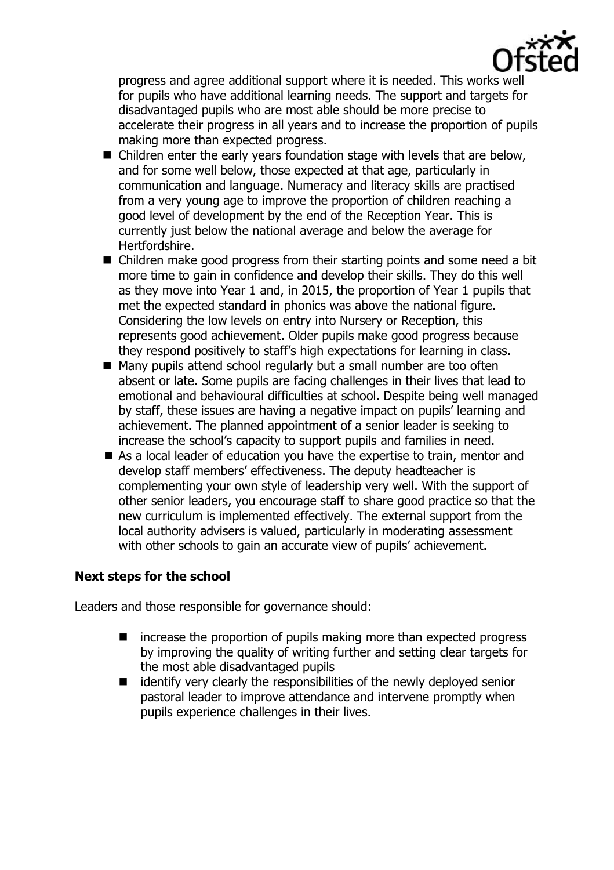

progress and agree additional support where it is needed. This works well for pupils who have additional learning needs. The support and targets for disadvantaged pupils who are most able should be more precise to accelerate their progress in all years and to increase the proportion of pupils making more than expected progress.

- Children enter the early years foundation stage with levels that are below, and for some well below, those expected at that age, particularly in communication and language. Numeracy and literacy skills are practised from a very young age to improve the proportion of children reaching a good level of development by the end of the Reception Year. This is currently just below the national average and below the average for Hertfordshire.
- Children make good progress from their starting points and some need a bit more time to gain in confidence and develop their skills. They do this well as they move into Year 1 and, in 2015, the proportion of Year 1 pupils that met the expected standard in phonics was above the national figure. Considering the low levels on entry into Nursery or Reception, this represents good achievement. Older pupils make good progress because they respond positively to staff's high expectations for learning in class.
- Many pupils attend school regularly but a small number are too often absent or late. Some pupils are facing challenges in their lives that lead to emotional and behavioural difficulties at school. Despite being well managed by staff, these issues are having a negative impact on pupils' learning and achievement. The planned appointment of a senior leader is seeking to increase the school's capacity to support pupils and families in need.
- As a local leader of education you have the expertise to train, mentor and develop staff members' effectiveness. The deputy headteacher is complementing your own style of leadership very well. With the support of other senior leaders, you encourage staff to share good practice so that the new curriculum is implemented effectively. The external support from the local authority advisers is valued, particularly in moderating assessment with other schools to gain an accurate view of pupils' achievement.

#### **Next steps for the school**

Leaders and those responsible for governance should:

- increase the proportion of pupils making more than expected progress by improving the quality of writing further and setting clear targets for the most able disadvantaged pupils
- identify very clearly the responsibilities of the newly deployed senior pastoral leader to improve attendance and intervene promptly when pupils experience challenges in their lives.